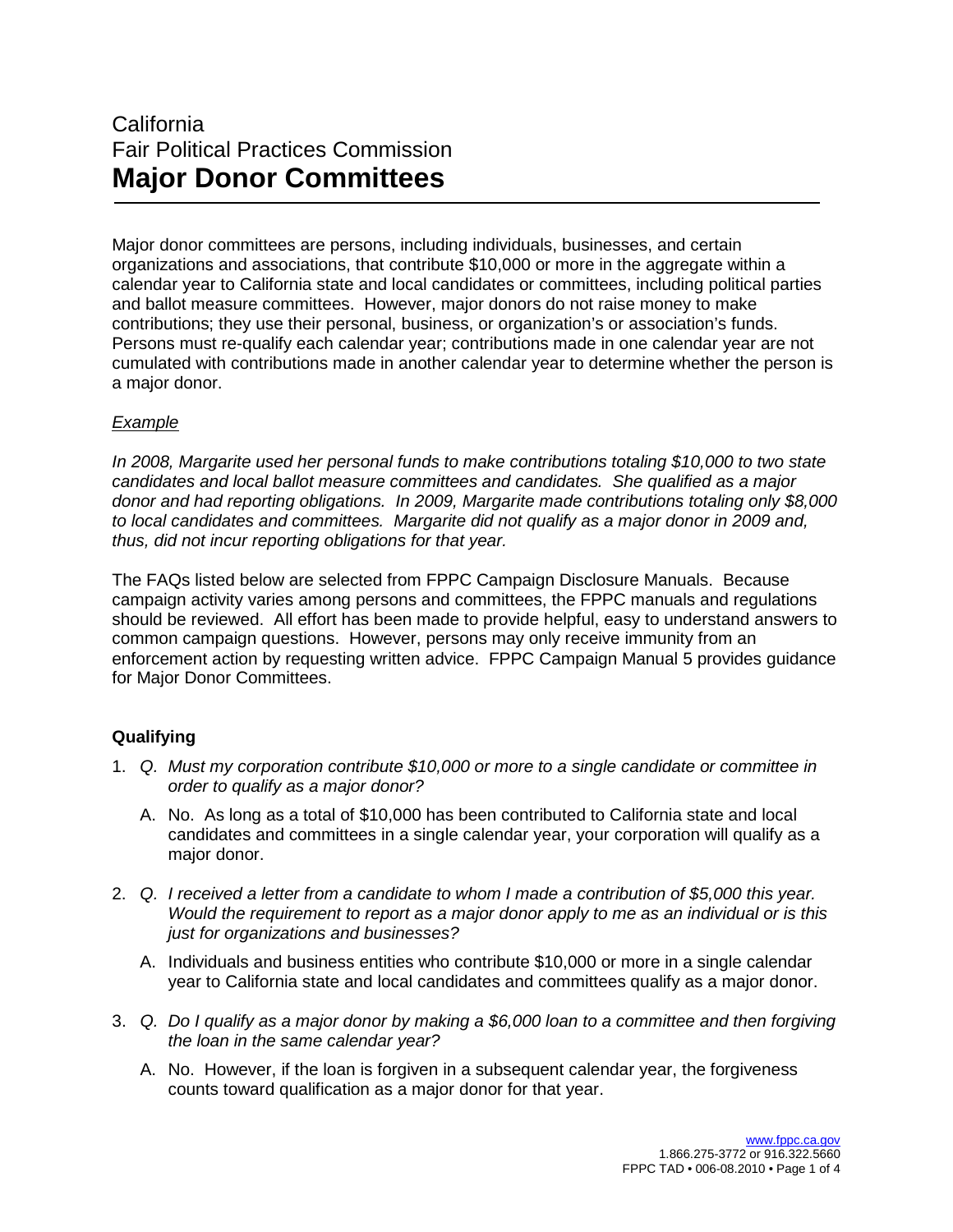# California Fair Political Practices Commission **Major Donor Committees**

Major donor committees are persons, including individuals, businesses, and certain organizations and associations, that contribute \$10,000 or more in the aggregate within a calendar year to California state and local candidates or committees, including political parties and ballot measure committees. However, major donors do not raise money to make contributions; they use their personal, business, or organization's or association's funds. Persons must re-qualify each calendar year; contributions made in one calendar year are not cumulated with contributions made in another calendar year to determine whether the person is a major donor.

## *Example*

*In 2008, Margarite used her personal funds to make contributions totaling \$10,000 to two state candidates and local ballot measure committees and candidates. She qualified as a major donor and had reporting obligations. In 2009, Margarite made contributions totaling only \$8,000 to local candidates and committees. Margarite did not qualify as a major donor in 2009 and, thus, did not incur reporting obligations for that year.*

The FAQs listed below are selected from FPPC Campaign Disclosure Manuals. Because campaign activity varies among persons and committees, the FPPC manuals and regulations should be reviewed. All effort has been made to provide helpful, easy to understand answers to common campaign questions. However, persons may only receive immunity from an enforcement action by requesting written advice. FPPC Campaign Manual 5 provides guidance for Major Donor Committees.

## **Qualifying**

- 1. *Q. Must my corporation contribute \$10,000 or more to a single candidate or committee in order to qualify as a major donor?*
	- A. No. As long as a total of \$10,000 has been contributed to California state and local candidates and committees in a single calendar year, your corporation will qualify as a major donor.
- 2. *Q. I received a letter from a candidate to whom I made a contribution of \$5,000 this year. Would the requirement to report as a major donor apply to me as an individual or is this just for organizations and businesses?*
	- A. Individuals and business entities who contribute \$10,000 or more in a single calendar year to California state and local candidates and committees qualify as a major donor.
- 3. *Q. Do I qualify as a major donor by making a \$6,000 loan to a committee and then forgiving the loan in the same calendar year?*
	- A. No. However, if the loan is forgiven in a subsequent calendar year, the forgiveness counts toward qualification as a major donor for that year.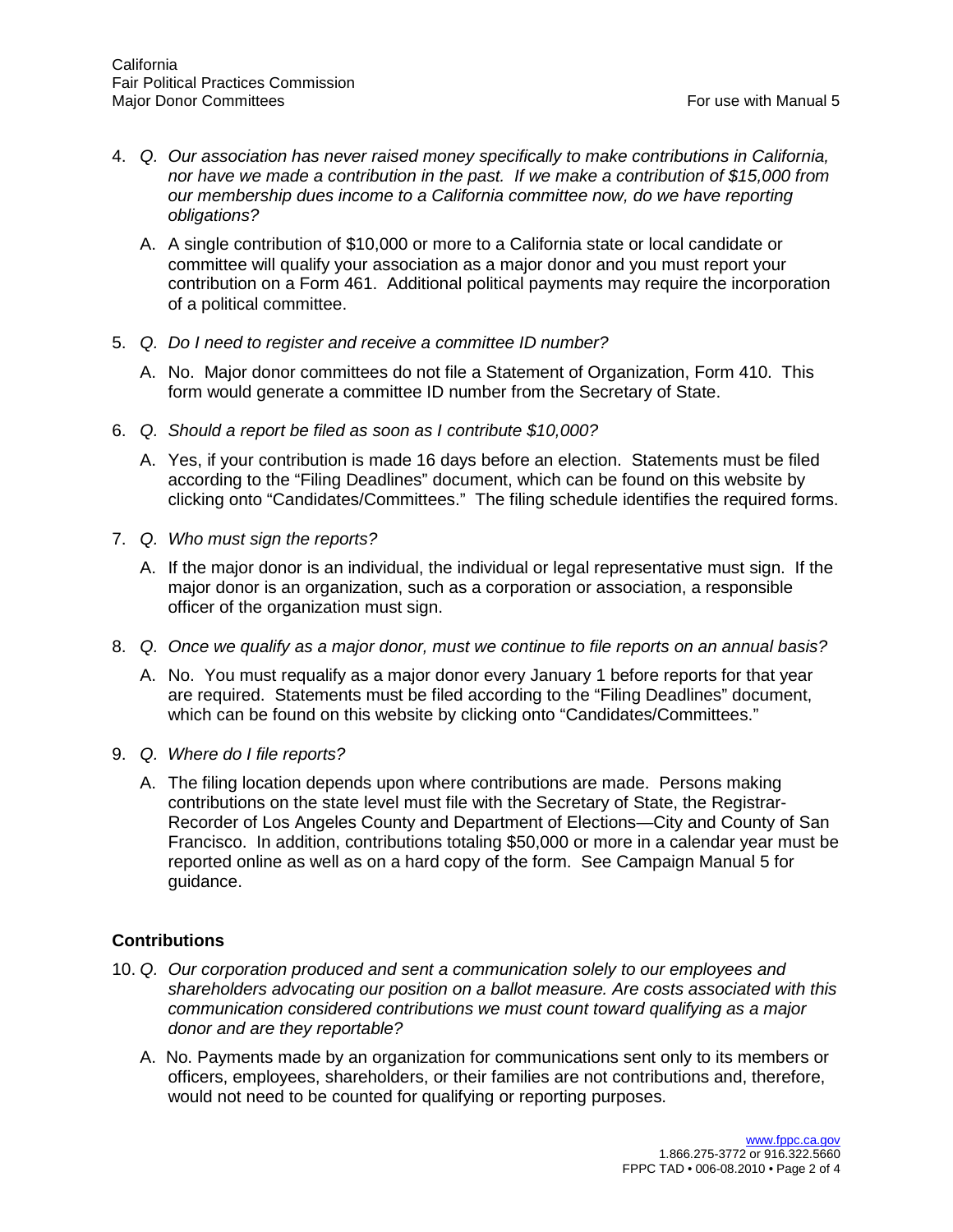- 4. *Q. Our association has never raised money specifically to make contributions in California, nor have we made a contribution in the past. If we make a contribution of \$15,000 from our membership dues income to a California committee now, do we have reporting obligations?*
	- A. A single contribution of \$10,000 or more to a California state or local candidate or committee will qualify your association as a major donor and you must report your contribution on a Form 461. Additional political payments may require the incorporation of a political committee.
- 5. *Q. Do I need to register and receive a committee ID number?*
	- A. No. Major donor committees do not file a Statement of Organization, Form 410. This form would generate a committee ID number from the Secretary of State.
- 6. *Q. Should a report be filed as soon as I contribute \$10,000?*
	- A. Yes, if your contribution is made 16 days before an election. Statements must be filed according to the "Filing Deadlines" document, which can be found on this website by clicking onto "Candidates/Committees." The filing schedule identifies the required forms.
- 7. *Q. Who must sign the reports?*
	- A. If the major donor is an individual, the individual or legal representative must sign. If the major donor is an organization, such as a corporation or association, a responsible officer of the organization must sign.
- 8. *Q. Once we qualify as a major donor, must we continue to file reports on an annual basis?*
	- A. No. You must requalify as a major donor every January 1 before reports for that year are required. Statements must be filed according to the "Filing Deadlines" document, which can be found on this website by clicking onto "Candidates/Committees."
- 9. *Q. Where do I file reports?*
	- A. The filing location depends upon where contributions are made. Persons making contributions on the state level must file with the Secretary of State, the Registrar-Recorder of Los Angeles County and Department of Elections—City and County of San Francisco. In addition, contributions totaling \$50,000 or more in a calendar year must be reported online as well as on a hard copy of the form. See Campaign Manual 5 for guidance.

### **Contributions**

- 10. *Q. Our corporation produced and sent a communication solely to our employees and shareholders advocating our position on a ballot measure. Are costs associated with this communication considered contributions we must count toward qualifying as a major donor and are they reportable?*
	- A. No. Payments made by an organization for communications sent only to its members or officers, employees, shareholders, or their families are not contributions and, therefore, would not need to be counted for qualifying or reporting purposes.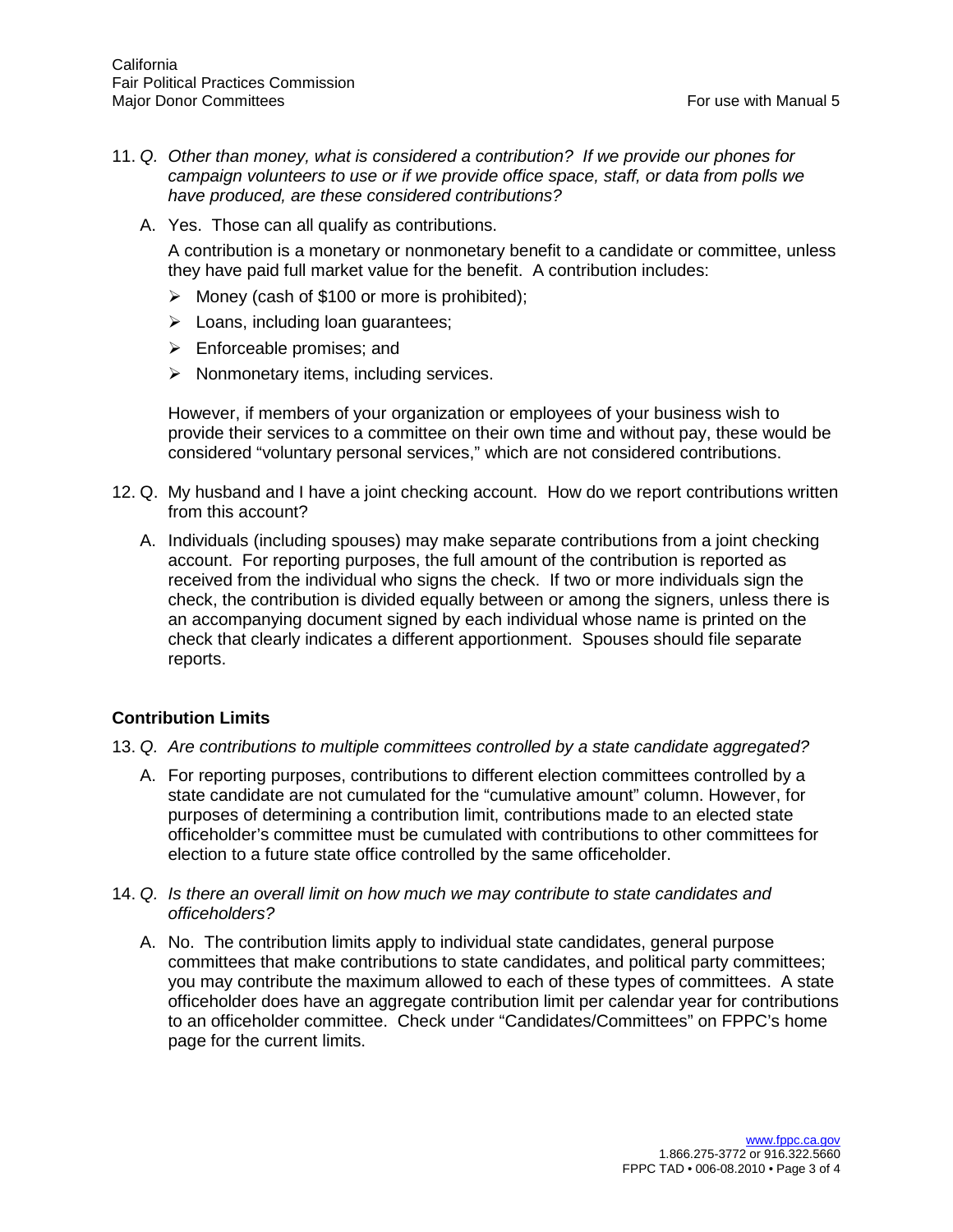- 11. *Q. Other than money, what is considered a contribution? If we provide our phones for campaign volunteers to use or if we provide office space, staff, or data from polls we have produced, are these considered contributions?*
	- A. Yes. Those can all qualify as contributions.

A contribution is a monetary or nonmonetary benefit to a candidate or committee, unless they have paid full market value for the benefit. A contribution includes:

- $\triangleright$  Money (cash of \$100 or more is prohibited);
- $\triangleright$  Loans, including loan quarantees;
- $\triangleright$  Enforceable promises; and
- $\triangleright$  Nonmonetary items, including services.

However, if members of your organization or employees of your business wish to provide their services to a committee on their own time and without pay, these would be considered "voluntary personal services," which are not considered contributions.

- 12. Q. My husband and I have a joint checking account. How do we report contributions written from this account?
	- A. Individuals (including spouses) may make separate contributions from a joint checking account. For reporting purposes, the full amount of the contribution is reported as received from the individual who signs the check. If two or more individuals sign the check, the contribution is divided equally between or among the signers, unless there is an accompanying document signed by each individual whose name is printed on the check that clearly indicates a different apportionment. Spouses should file separate reports.

### **Contribution Limits**

- 13. *Q. Are contributions to multiple committees controlled by a state candidate aggregated?*
	- A. For reporting purposes, contributions to different election committees controlled by a state candidate are not cumulated for the "cumulative amount" column. However, for purposes of determining a contribution limit, contributions made to an elected state officeholder's committee must be cumulated with contributions to other committees for election to a future state office controlled by the same officeholder.
- 14. *Q. Is there an overall limit on how much we may contribute to state candidates and officeholders?*
	- A. No. The contribution limits apply to individual state candidates, general purpose committees that make contributions to state candidates, and political party committees; you may contribute the maximum allowed to each of these types of committees. A state officeholder does have an aggregate contribution limit per calendar year for contributions to an officeholder committee. Check under "Candidates/Committees" on FPPC's home page for the current limits.